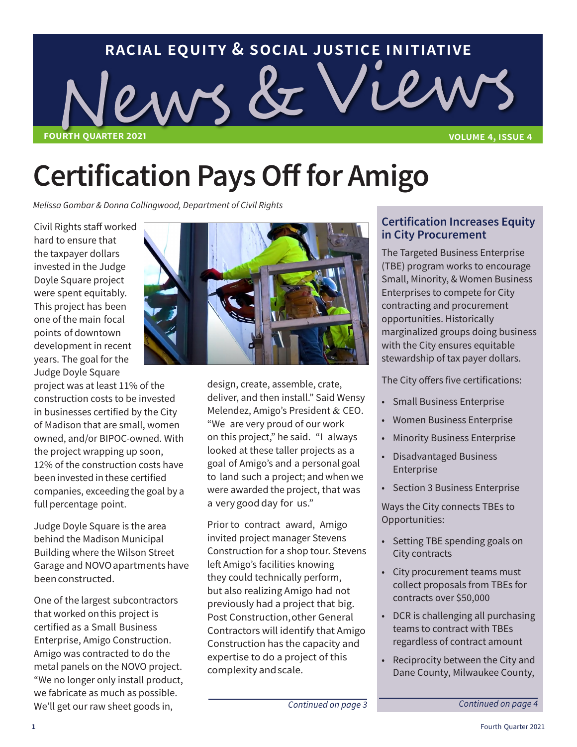

## **Certification Pays Off for Amigo**

*Melissa Gombar & Donna Collingwood, Department of Civil Rights*

Civil Rights staff worked hard to ensure that the taxpayer dollars invested in the Judge Doyle Square project were spent equitably. This project has been one of the main focal points of downtown development in recent years. The goal for the Judge Doyle Square

project was at least 11% of the construction costs to be invested in businesses certified by the City of Madison that are small, women owned, and/or BIPOC-owned. With the project wrapping up soon, 12% of the construction costs have been invested in these certified companies, exceeding the goal by a full percentage point.

Judge Doyle Square is the area behind the Madison Municipal Building where the Wilson Street Garage and NOVO apartments have been constructed.

One of the largest subcontractors that worked on this project is certified as a Small Business Enterprise, Amigo Construction. Amigo was contracted to do the metal panels on the NOVO project. "We no longer only install product, we fabricate as much as possible. We'll get our raw sheet goods in,



design, create, assemble, crate, deliver, and then install." Said Wensy Melendez, Amigo's President & CEO. "We are very proud of our work on this project," he said. "I always looked at these taller projects as a goal of Amigo's and a personal goal to land such a project; and when we were awarded the project, that was a very good day for us."

Prior to contract award, Amigo invited project manager Stevens Construction for a shop tour. Stevens left Amigo's facilities knowing they could technically perform, but also realizing Amigo had not previously had a project that big. Post Construction, other General Contractors will identify that Amigo Construction has the capacity and expertise to do a project of this complexity and scale.

#### **Certification Increases Equity in City Procurement**

The Targeted Business Enterprise (TBE) program works to encourage Small, Minority, & Women Business Enterprises to compete for City contracting and procurement opportunities. Historically marginalized groups doing business with the City ensures equitable stewardship of tax payer dollars.

The City offers five certifications:

- Small Business Enterprise
- Women Business Enterprise
- **Minority Business Enterprise**
- Disadvantaged Business Enterprise
- Section 3 Business Enterprise

Ways the City connects TBEs to Opportunities:

- Setting TBE spending goals on City contracts
- City procurement teams must collect proposals from TBEs for contracts over \$50,000
- DCR is challenging all purchasing teams to contract with TBEs regardless of contract amount
- Reciprocity between the City and Dane County, Milwaukee County,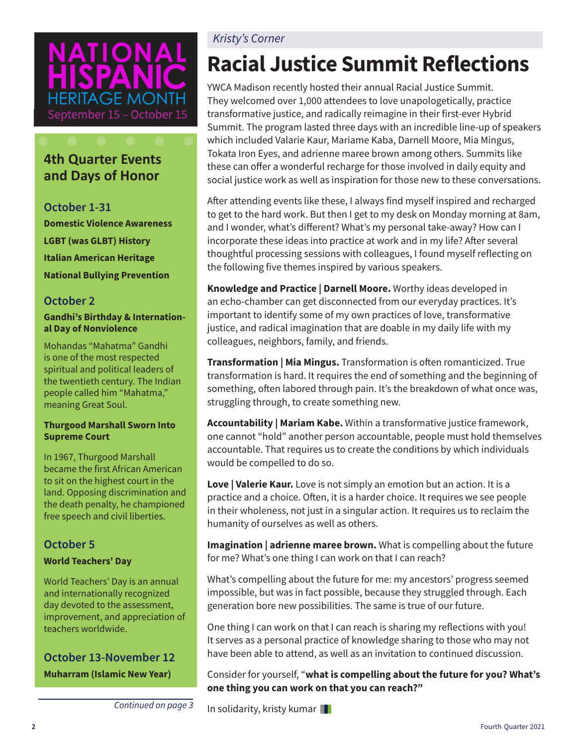# GF MON September 15 - October 15

### **4th Quarter Events and Days of Honor**

**October 1-31 Domestic Violence Awareness LGBT (was GLBT) History Italian American Heritage National Bullying Prevention**

#### **October 2**

#### **Gandhi's Birthday & International Day of Nonviolence**

Mohandas "Mahatma" Gandhi is one of the most respected spiritual and political leaders of the twentieth century. The Indian people called him "Mahatma," meaning Great Soul.

#### **Thurgood Marshall Sworn Into Supreme Court**

In 1967, Thurgood Marshall became the first African American to sit on the highest court in the land. Opposing discrimination and the death penalty, he championed free speech and civil liberties.

#### **October 5**

#### **World Teachers' Day**

World Teachers' Day is an annual and internationally recognized day devoted to the assessment, improvement, and appreciation of teachers worldwide.

#### **October 13-November 12 Muharram (Islamic New Year)**

#### *Kristy's Corner*

### **Racial Justice Summit Reflections**

YWCA Madison recently hosted their annual Racial Justice Summit. They welcomed over 1,000 attendees to love unapologetically, practice transformative justice, and radically reimagine in their first-ever Hybrid Summit. The program lasted three days with an incredible line-up of speakers which included Valarie Kaur, Mariame Kaba, Darnell Moore, Mia Mingus, Tokata Iron Eyes, and adrienne maree brown among others. Summits like these can offer a wonderful recharge for those involved in daily equity and social justice work as well as inspiration for those new to these conversations.

After attending events like these, I always find myself inspired and recharged to get to the hard work. But then I get to my desk on Monday morning at 8am, and I wonder, what's different? What's my personal take-away? How can I incorporate these ideas into practice at work and in my life? After several thoughtful processing sessions with colleagues, I found myself reflecting on the following five themes inspired by various speakers.

**Knowledge and Practice | Darnell Moore.** Worthy ideas developed in an echo-chamber can get disconnected from our everyday practices. It's important to identify some of my own practices of love, transformative justice, and radical imagination that are doable in my daily life with my colleagues, neighbors, family, and friends.

**Transformation | Mia Mingus.** Transformation is often romanticized. True transformation is hard. It requires the end of something and the beginning of something, often labored through pain. It's the breakdown of what once was, struggling through, to create something new.

**Accountability | Mariam Kabe.** Within a transformative justice framework, one cannot "hold" another person accountable, people must hold themselves accountable. That requires us to create the conditions by which individuals would be compelled to do so.

**Love | Valerie Kaur.** Love is not simply an emotion but an action. It is a practice and a choice. Often, it is a harder choice. It requires we see people in their wholeness, not just in a singular action. It requires us to reclaim the humanity of ourselves as well as others.

**Imagination | adrienne maree brown.** What is compelling about the future for me? What's one thing I can work on that I can reach?

What's compelling about the future for me: my ancestors' progress seemed impossible, but was in fact possible, because they struggled through. Each generation bore new possibilities. The same is true of our future.

One thing I can work on that I can reach is sharing my reflections with you! It serves as a personal practice of knowledge sharing to those who may not have been able to attend, as well as an invitation to continued discussion.

Consider for yourself, "**what is compelling about the future for you? What's one thing you can work on that you can reach?"** 

*Continued on page 3* In solidarity, kristy kumar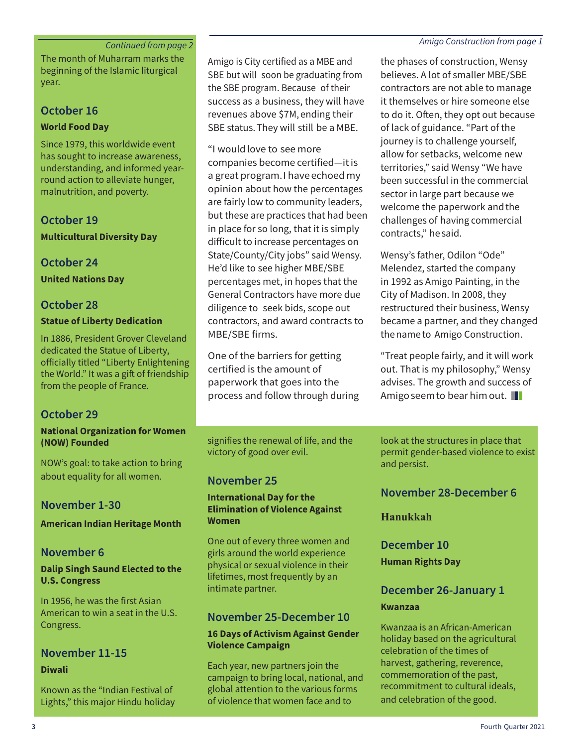#### **Continued from page 2** *Continued from page 2 Amigo Construction from page 1*

The month of Muharram marks the beginning of the Islamic liturgical year.

#### **October 16**

#### **World Food Day**

Since 1979, this worldwide event has sought to increase awareness, understanding, and informed yearround action to alleviate hunger, malnutrition, and poverty.

#### **October 19**

**Multicultural Diversity Day**

#### **October 24**

**United Nations Day**

#### **October 28**

#### **Statue of Liberty Dedication**

In 1886, President Grover Cleveland dedicated the Statue of Liberty, officially titled "Liberty Enlightening the World." It was a gift of friendship from the people of France.

#### **October 29**

#### **National Organization for Women (NOW) Founded**

NOW's goal: to take action to bring about equality for all women.

#### **November 1-30**

**American Indian Heritage Month**

#### **November 6**

#### **Dalip Singh Saund Elected to the U.S. Congress**

In 1956, he was the first Asian American to win a seat in the U.S. Congress.

#### **November 11-15**

#### **Diwali**

Known as the "Indian Festival of Lights," this major Hindu holiday Amigo is City certified as a MBE and SBE but will soon be graduating from the SBE program. Because of their success as a business, they will have revenues above \$7M, ending their SBE status. They will still be a MBE.

"I would love to see more companies become certified—it is a great program. I have echoed my opinion about how the percentages are fairly low to community leaders, but these are practices that had been in place for so long, that it is simply difficult to increase percentages on State/County/City jobs" said Wensy. He'd like to see higher MBE/SBE percentages met, in hopes that the General Contractors have more due diligence to seek bids, scope out contractors, and award contracts to MBE/SBE firms.

One of the barriers for getting certified is the amount of paperwork that goes into the process and follow through during

signifies the renewal of life, and the victory of good over evil.

#### **November 25**

#### **International Day for the Elimination of Violence Against Women**

One out of every three women and girls around the world experience physical or sexual violence in their lifetimes, most frequently by an intimate partner.

#### **November 25-December 10**

#### **16 Days of Activism Against Gender Violence Campaign**

Each year, new partners join the campaign to bring local, national, and global attention to the various forms of violence that women face and to

the phases of construction, Wensy believes. A lot of smaller MBE/SBE contractors are not able to manage it themselves or hire someone else to do it. Often, they opt out because of lack of guidance. "Part of the journey is to challenge yourself, allow for setbacks, welcome new territories," said Wensy "We have been successful in the commercial sector in large part because we welcome the paperwork and the challenges of having commercial contracts," he said.

Wensy's father, Odilon "Ode" Melendez, started the company in 1992 as Amigo Painting, in the City of Madison. In 2008, they restructured their business, Wensy became a partner, and they changed the name to Amigo Construction.

"Treat people fairly, and it will work out. That is my philosophy," Wensy advises. The growth and success of Amigo seem to bear him out.

look at the structures in place that permit gender-based violence to exist and persist.

#### **November 28-December 6**

**Hanukkah**

**December 10 Human Rights Day**

#### **December 26-January 1 Kwanzaa**

Kwanzaa is an African-American holiday based on the agricultural celebration of the times of harvest, gathering, reverence, commemoration of the past, recommitment to cultural ideals, and celebration of the good.